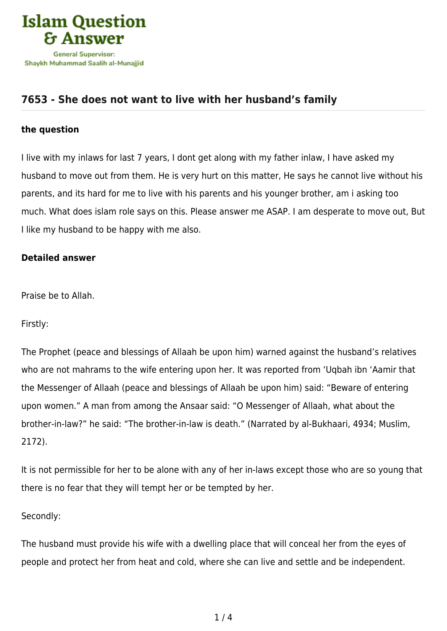

## **[7653 - She does not want to live with her husband's family](https://islamqa.com/en/answers/7653/she-does-not-want-to-live-with-her-husbands-family)**

## **the question**

I live with my inlaws for last 7 years, I dont get along with my father inlaw, I have asked my husband to move out from them. He is very hurt on this matter, He says he cannot live without his parents, and its hard for me to live with his parents and his younger brother, am i asking too much. What does islam role says on this. Please answer me ASAP. I am desperate to move out, But I like my husband to be happy with me also.

## **Detailed answer**

Praise be to Allah.

Firstly:

The Prophet (peace and blessings of Allaah be upon him) warned against the husband's relatives who are not mahrams to the wife entering upon her. It was reported from 'Uqbah ibn 'Aamir that the Messenger of Allaah (peace and blessings of Allaah be upon him) said: "Beware of entering upon women." A man from among the Ansaar said: "O Messenger of Allaah, what about the brother-in-law?" he said: "The brother-in-law is death." (Narrated by al-Bukhaari, 4934; Muslim, 2172).

It is not permissible for her to be alone with any of her in-laws except those who are so young that there is no fear that they will tempt her or be tempted by her.

Secondly:

The husband must provide his wife with a dwelling place that will conceal her from the eyes of people and protect her from heat and cold, where she can live and settle and be independent.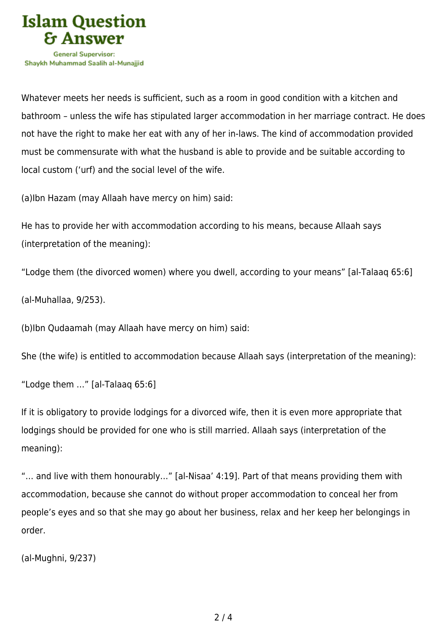

Whatever meets her needs is sufficient, such as a room in good condition with a kitchen and bathroom – unless the wife has stipulated larger accommodation in her marriage contract. He does not have the right to make her eat with any of her in-laws. The kind of accommodation provided must be commensurate with what the husband is able to provide and be suitable according to local custom ('urf) and the social level of the wife.

(a)Ibn Hazam (may Allaah have mercy on him) said:

He has to provide her with accommodation according to his means, because Allaah says (interpretation of the meaning):

"Lodge them (the divorced women) where you dwell, according to your means" [al-Talaaq 65:6]

(al-Muhallaa, 9/253).

(b)Ibn Qudaamah (may Allaah have mercy on him) said:

She (the wife) is entitled to accommodation because Allaah says (interpretation of the meaning):

"Lodge them …" [al-Talaaq 65:6]

If it is obligatory to provide lodgings for a divorced wife, then it is even more appropriate that lodgings should be provided for one who is still married. Allaah says (interpretation of the meaning):

"… and live with them honourably…" [al-Nisaa' 4:19]. Part of that means providing them with accommodation, because she cannot do without proper accommodation to conceal her from people's eyes and so that she may go about her business, relax and her keep her belongings in order.

(al-Mughni, 9/237)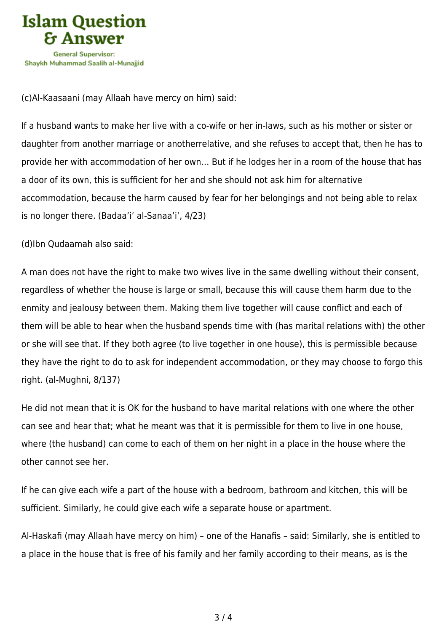

(c)Al-Kaasaani (may Allaah have mercy on him) said:

If a husband wants to make her live with a co-wife or her in-laws, such as his mother or sister or daughter from another marriage or anotherrelative, and she refuses to accept that, then he has to provide her with accommodation of her own… But if he lodges her in a room of the house that has a door of its own, this is sufficient for her and she should not ask him for alternative accommodation, because the harm caused by fear for her belongings and not being able to relax is no longer there. (Badaa'i' al-Sanaa'i', 4/23)

(d)Ibn Qudaamah also said:

A man does not have the right to make two wives live in the same dwelling without their consent, regardless of whether the house is large or small, because this will cause them harm due to the enmity and jealousy between them. Making them live together will cause conflict and each of them will be able to hear when the husband spends time with (has marital relations with) the other or she will see that. If they both agree (to live together in one house), this is permissible because they have the right to do to ask for independent accommodation, or they may choose to forgo this right. (al-Mughni, 8/137)

He did not mean that it is OK for the husband to have marital relations with one where the other can see and hear that; what he meant was that it is permissible for them to live in one house, where (the husband) can come to each of them on her night in a place in the house where the other cannot see her.

If he can give each wife a part of the house with a bedroom, bathroom and kitchen, this will be sufficient. Similarly, he could give each wife a separate house or apartment.

Al-Haskafi (may Allaah have mercy on him) – one of the Hanafis – said: Similarly, she is entitled to a place in the house that is free of his family and her family according to their means, as is the